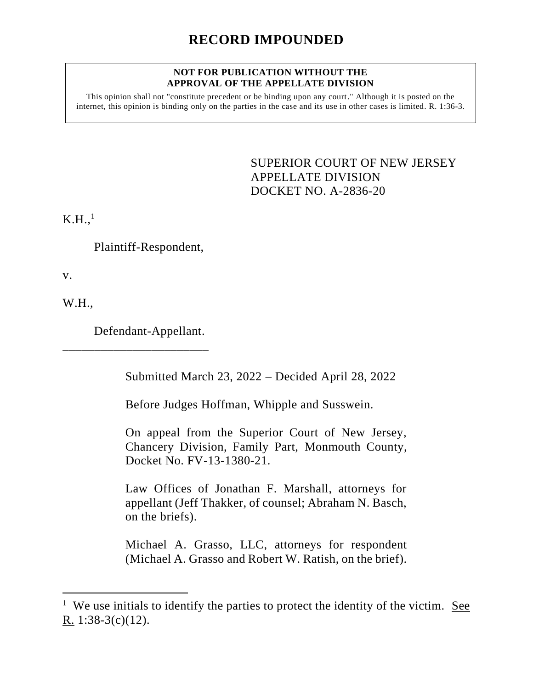## **NOT FOR PUBLICATION WITHOUT THE APPROVAL OF THE APPELLATE DIVISION**

This opinion shall not "constitute precedent or be binding upon any court." Although it is posted on the internet, this opinion is binding only on the parties in the case and its use in other cases is limited. R. 1:36-3.

> <span id="page-0-0"></span>SUPERIOR COURT OF NEW JERSEY APPELLATE DIVISION DOCKET NO. A-2836-20

 $K.H.,<sup>1</sup>$ 

Plaintiff-Respondent,

v.

W.H.,

Defendant-Appellant.

\_\_\_\_\_\_\_\_\_\_\_\_\_\_\_\_\_\_\_\_\_\_\_

Submitted March 23, 2022 – Decided April 28, 2022

Before Judges Hoffman, Whipple and Susswein.

On appeal from the Superior Court of New Jersey, Chancery Division, Family Part, Monmouth County, Docket No. FV-13-1380-21.

Law Offices of Jonathan F. Marshall, attorneys for appellant (Jeff Thakker, of counsel; Abraham N. Basch, on the briefs).

Michael A. Grasso, LLC, attorneys for respondent (Michael A. Grasso and Robert W. Ratish, on the brief).

<sup>&</sup>lt;sup>1</sup> We use initials to identify the parties to protect the identity of the victim. <u>See</u> R. 1:38-3(c)(12).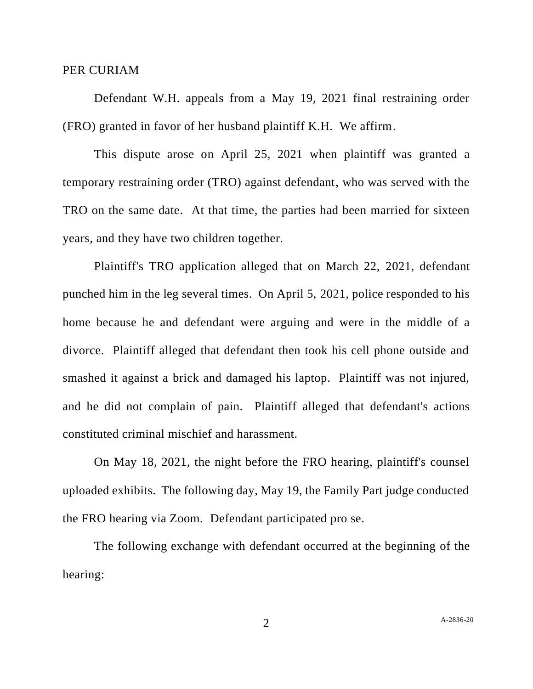## PER CURIAM

Defendant W.H. appeals from a May 19, 2021 final restraining order (FRO) granted in favor of her husband plaintiff K.H. We affirm.

This dispute arose on April 25, 2021 when plaintiff was granted a temporary restraining order (TRO) against defendant, who was served with the TRO on the same date. At that time, the parties had been married for sixteen years, and they have two children together.

Plaintiff's TRO application alleged that on March 22, 2021, defendant punched him in the leg several times. On April 5, 2021, police responded to his home because he and defendant were arguing and were in the middle of a divorce. Plaintiff alleged that defendant then took his cell phone outside and smashed it against a brick and damaged his laptop. Plaintiff was not injured, and he did not complain of pain. Plaintiff alleged that defendant's actions constituted criminal mischief and harassment.

On May 18, 2021, the night before the FRO hearing, plaintiff's counsel uploaded exhibits. The following day, May 19, the Family Part judge conducted the FRO hearing via Zoom. Defendant participated pro se.

The following exchange with defendant occurred at the beginning of the hearing: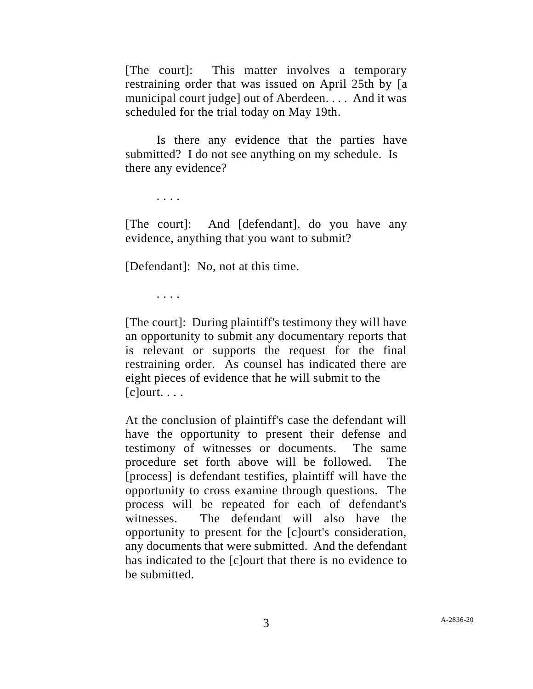[The court]: This matter involves a temporary restraining order that was issued on April 25th by [a municipal court judge] out of Aberdeen. . . . And it was scheduled for the trial today on May 19th.

Is there any evidence that the parties have submitted? I do not see anything on my schedule. Is there any evidence?

. . . .

[The court]: And [defendant], do you have any evidence, anything that you want to submit?

[Defendant]: No, not at this time.

. . . .

[The court]: During plaintiff's testimony they will have an opportunity to submit any documentary reports that is relevant or supports the request for the final restraining order. As counsel has indicated there are eight pieces of evidence that he will submit to the [c]ourt. . . .

At the conclusion of plaintiff's case the defendant will have the opportunity to present their defense and testimony of witnesses or documents. The same procedure set forth above will be followed. The [process] is defendant testifies, plaintiff will have the opportunity to cross examine through questions. The process will be repeated for each of defendant's witnesses. The defendant will also have the opportunity to present for the [c]ourt's consideration, any documents that were submitted. And the defendant has indicated to the [c]ourt that there is no evidence to be submitted.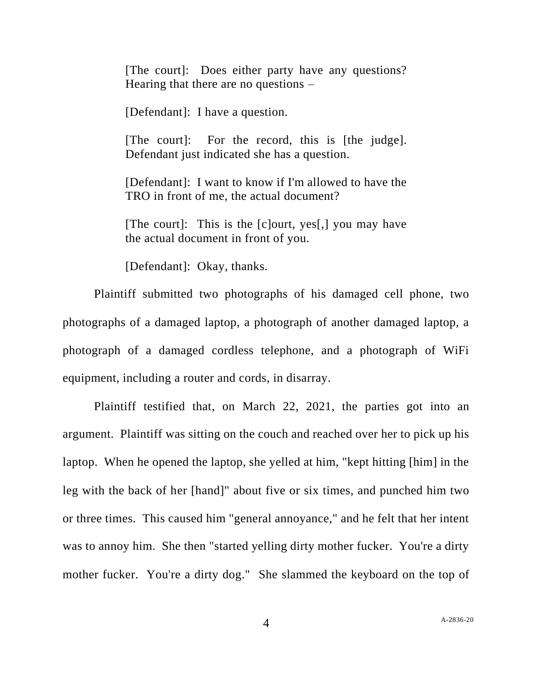[The court]: Does either party have any questions? Hearing that there are no questions –

[Defendant]: I have a question.

[The court]: For the record, this is [the judge]. Defendant just indicated she has a question.

[Defendant]: I want to know if I'm allowed to have the TRO in front of me, the actual document?

[The court]: This is the [c]ourt, yes[,] you may have the actual document in front of you.

[Defendant]: Okay, thanks.

Plaintiff submitted two photographs of his damaged cell phone, two photographs of a damaged laptop, a photograph of another damaged laptop, a photograph of a damaged cordless telephone, and a photograph of WiFi equipment, including a router and cords, in disarray.

Plaintiff testified that, on March 22, 2021, the parties got into an argument. Plaintiff was sitting on the couch and reached over her to pick up his laptop. When he opened the laptop, she yelled at him, "kept hitting [him] in the leg with the back of her [hand]" about five or six times, and punched him two or three times. This caused him "general annoyance," and he felt that her intent was to annoy him. She then "started yelling dirty mother fucker. You're a dirty mother fucker. You're a dirty dog." She slammed the keyboard on the top of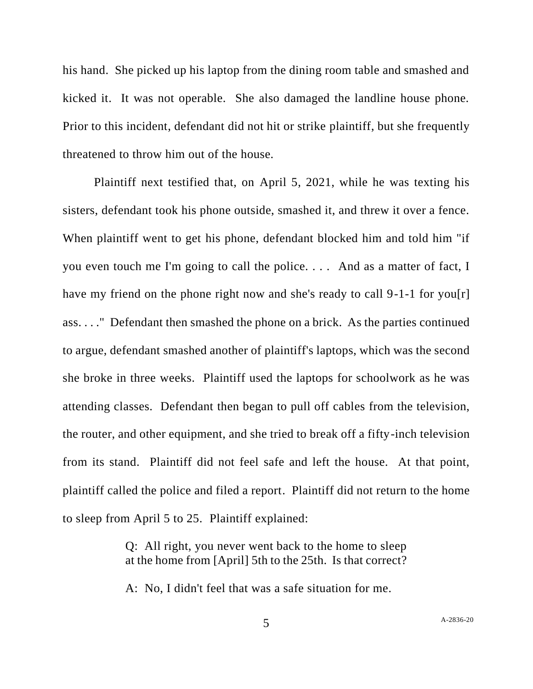his hand. She picked up his laptop from the dining room table and smashed and kicked it. It was not operable. She also damaged the landline house phone. Prior to this incident, defendant did not hit or strike plaintiff, but she frequently threatened to throw him out of the house.

Plaintiff next testified that, on April 5, 2021, while he was texting his sisters, defendant took his phone outside, smashed it, and threw it over a fence. When plaintiff went to get his phone, defendant blocked him and told him "if you even touch me I'm going to call the police. . . . And as a matter of fact, I have my friend on the phone right now and she's ready to call 9-1-1 for you[r] ass. . . ." Defendant then smashed the phone on a brick. As the parties continued to argue, defendant smashed another of plaintiff's laptops, which was the second she broke in three weeks. Plaintiff used the laptops for schoolwork as he was attending classes. Defendant then began to pull off cables from the television, the router, and other equipment, and she tried to break off a fifty-inch television from its stand. Plaintiff did not feel safe and left the house. At that point, plaintiff called the police and filed a report. Plaintiff did not return to the home to sleep from April 5 to 25. Plaintiff explained:

> Q: All right, you never went back to the home to sleep at the home from [April] 5th to the 25th. Is that correct?

A: No, I didn't feel that was a safe situation for me.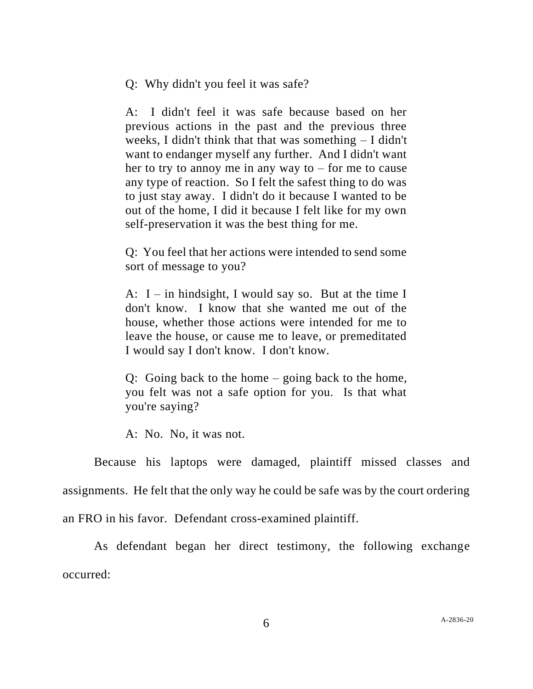Q: Why didn't you feel it was safe?

A: I didn't feel it was safe because based on her previous actions in the past and the previous three weeks, I didn't think that that was something – I didn't want to endanger myself any further. And I didn't want her to try to annoy me in any way to  $-$  for me to cause any type of reaction. So I felt the safest thing to do was to just stay away. I didn't do it because I wanted to be out of the home, I did it because I felt like for my own self-preservation it was the best thing for me.

Q: You feel that her actions were intended to send some sort of message to you?

A:  $I$  – in hindsight, I would say so. But at the time I don't know. I know that she wanted me out of the house, whether those actions were intended for me to leave the house, or cause me to leave, or premeditated I would say I don't know. I don't know.

Q: Going back to the home – going back to the home, you felt was not a safe option for you. Is that what you're saying?

A: No. No, it was not.

Because his laptops were damaged, plaintiff missed classes and assignments. He felt that the only way he could be safe was by the court ordering an FRO in his favor. Defendant cross-examined plaintiff.

As defendant began her direct testimony, the following exchange occurred: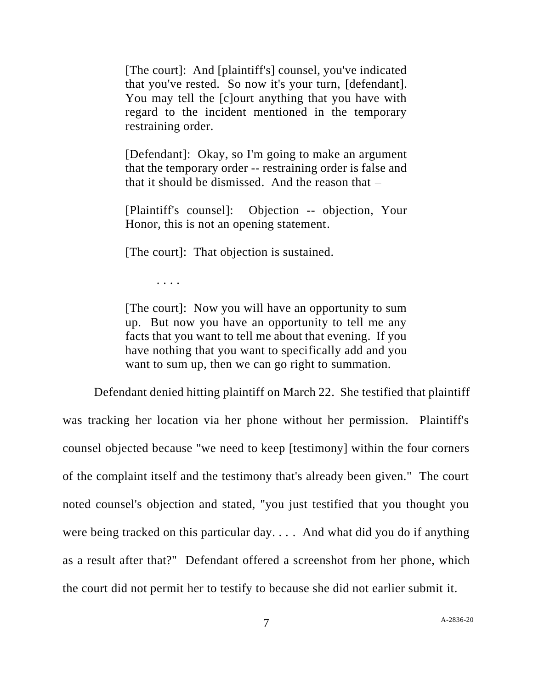[The court]: And [plaintiff's] counsel, you've indicated that you've rested. So now it's your turn, [defendant]. You may tell the [c]ourt anything that you have with regard to the incident mentioned in the temporary restraining order.

[Defendant]: Okay, so I'm going to make an argument that the temporary order -- restraining order is false and that it should be dismissed. And the reason that  $-$ 

[Plaintiff's counsel]: Objection -- objection, Your Honor, this is not an opening statement.

[The court]: That objection is sustained.

. . . .

[The court]: Now you will have an opportunity to sum up. But now you have an opportunity to tell me any facts that you want to tell me about that evening. If you have nothing that you want to specifically add and you want to sum up, then we can go right to summation.

Defendant denied hitting plaintiff on March 22. She testified that plaintiff was tracking her location via her phone without her permission. Plaintiff's counsel objected because "we need to keep [testimony] within the four corners of the complaint itself and the testimony that's already been given." The court noted counsel's objection and stated, "you just testified that you thought you were being tracked on this particular day. . . . And what did you do if anything as a result after that?" Defendant offered a screenshot from her phone, which the court did not permit her to testify to because she did not earlier submit it.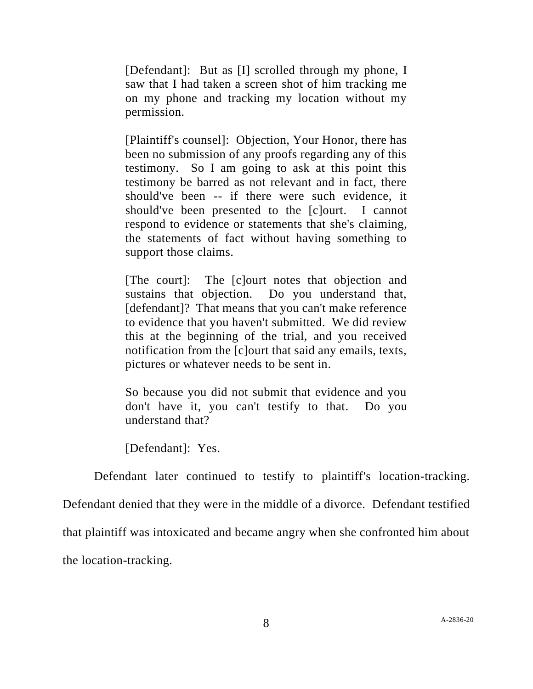[Defendant]: But as [I] scrolled through my phone, I saw that I had taken a screen shot of him tracking me on my phone and tracking my location without my permission.

[Plaintiff's counsel]: Objection, Your Honor, there has been no submission of any proofs regarding any of this testimony. So I am going to ask at this point this testimony be barred as not relevant and in fact, there should've been -- if there were such evidence, it should've been presented to the [c]ourt. I cannot respond to evidence or statements that she's claiming, the statements of fact without having something to support those claims.

[The court]: The [c]ourt notes that objection and sustains that objection. Do you understand that, [defendant]? That means that you can't make reference to evidence that you haven't submitted. We did review this at the beginning of the trial, and you received notification from the [c]ourt that said any emails, texts, pictures or whatever needs to be sent in.

So because you did not submit that evidence and you don't have it, you can't testify to that. Do you understand that?

[Defendant]: Yes.

Defendant later continued to testify to plaintiff's location-tracking. Defendant denied that they were in the middle of a divorce. Defendant testified that plaintiff was intoxicated and became angry when she confronted him about the location-tracking.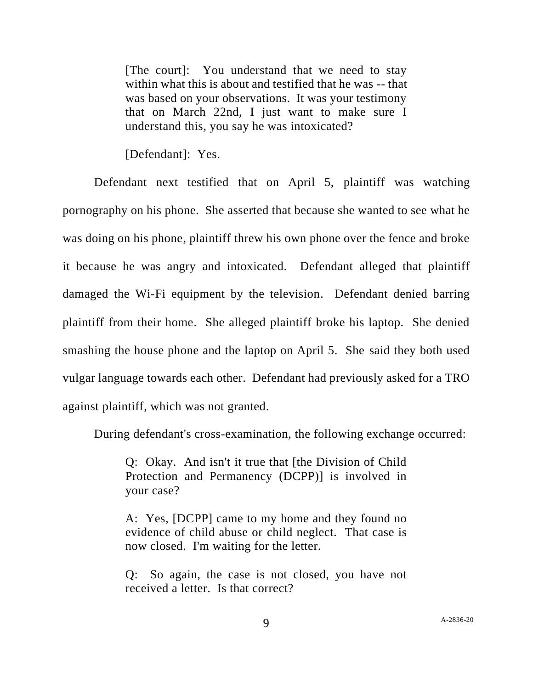[The court]: You understand that we need to stay within what this is about and testified that he was -- that was based on your observations. It was your testimony that on March 22nd, I just want to make sure I understand this, you say he was intoxicated?

[Defendant]: Yes.

Defendant next testified that on April 5, plaintiff was watching pornography on his phone. She asserted that because she wanted to see what he was doing on his phone, plaintiff threw his own phone over the fence and broke it because he was angry and intoxicated. Defendant alleged that plaintiff damaged the Wi-Fi equipment by the television. Defendant denied barring plaintiff from their home. She alleged plaintiff broke his laptop. She denied smashing the house phone and the laptop on April 5. She said they both used vulgar language towards each other. Defendant had previously asked for a TRO against plaintiff, which was not granted.

During defendant's cross-examination, the following exchange occurred:

Q: Okay. And isn't it true that [the Division of Child Protection and Permanency (DCPP)] is involved in your case?

A: Yes, [DCPP] came to my home and they found no evidence of child abuse or child neglect. That case is now closed. I'm waiting for the letter.

Q: So again, the case is not closed, you have not received a letter. Is that correct?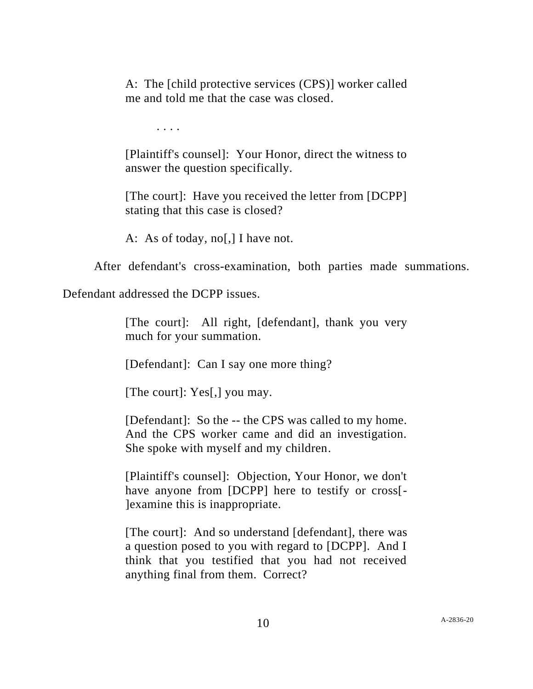A: The [child protective services (CPS)] worker called me and told me that the case was closed.

. . . .

[Plaintiff's counsel]: Your Honor, direct the witness to answer the question specifically.

[The court]: Have you received the letter from [DCPP] stating that this case is closed?

A: As of today, no[,] I have not.

After defendant's cross-examination, both parties made summations.

Defendant addressed the DCPP issues.

[The court]: All right, [defendant], thank you very much for your summation.

[Defendant]: Can I say one more thing?

[The court]: Yes[,] you may.

[Defendant]: So the -- the CPS was called to my home. And the CPS worker came and did an investigation. She spoke with myself and my children.

[Plaintiff's counsel]: Objection, Your Honor, we don't have anyone from [DCPP] here to testify or cross<sup>[-1]</sup> ]examine this is inappropriate.

[The court]: And so understand [defendant], there was a question posed to you with regard to [DCPP]. And I think that you testified that you had not received anything final from them. Correct?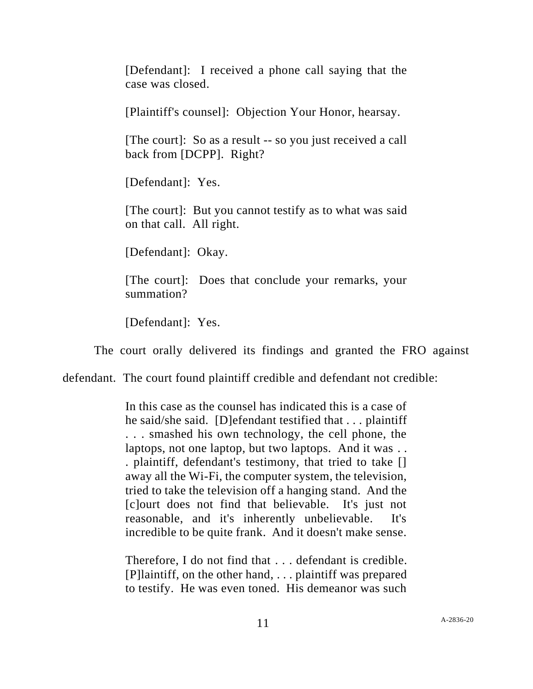[Defendant]: I received a phone call saying that the case was closed.

[Plaintiff's counsel]: Objection Your Honor, hearsay.

[The court]: So as a result -- so you just received a call back from [DCPP]. Right?

[Defendant]: Yes.

[The court]: But you cannot testify as to what was said on that call. All right.

[Defendant]: Okay.

[The court]: Does that conclude your remarks, your summation?

[Defendant]: Yes.

The court orally delivered its findings and granted the FRO against

defendant. The court found plaintiff credible and defendant not credible:

In this case as the counsel has indicated this is a case of he said/she said. [D]efendant testified that . . . plaintiff . . . smashed his own technology, the cell phone, the laptops, not one laptop, but two laptops. And it was . . . plaintiff, defendant's testimony, that tried to take [] away all the Wi-Fi, the computer system, the television, tried to take the television off a hanging stand. And the [c]ourt does not find that believable. It's just not reasonable, and it's inherently unbelievable. It's incredible to be quite frank. And it doesn't make sense.

Therefore, I do not find that . . . defendant is credible. [P]laintiff, on the other hand, . . . plaintiff was prepared to testify. He was even toned. His demeanor was such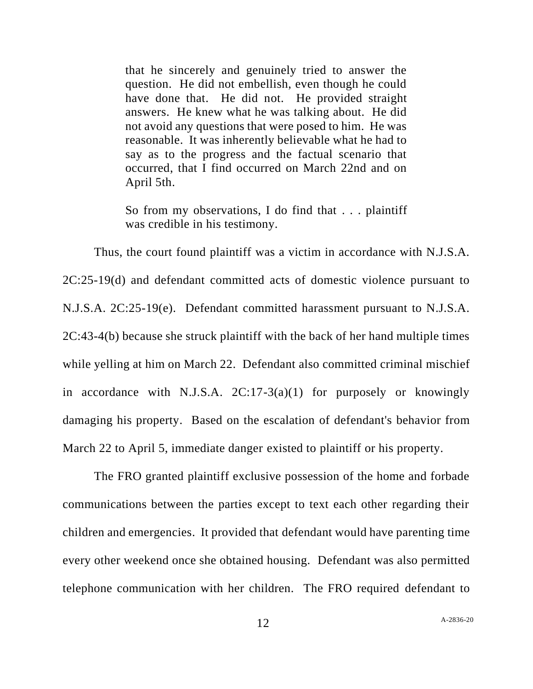that he sincerely and genuinely tried to answer the question. He did not embellish, even though he could have done that. He did not. He provided straight answers. He knew what he was talking about. He did not avoid any questions that were posed to him. He was reasonable. It was inherently believable what he had to say as to the progress and the factual scenario that occurred, that I find occurred on March 22nd and on April 5th.

So from my observations, I do find that . . . plaintiff was credible in his testimony.

Thus, the court found plaintiff was a victim in accordance with N.J.S.A. 2C:25-19(d) and defendant committed acts of domestic violence pursuant to N.J.S.A. 2C:25-19(e). Defendant committed harassment pursuant to N.J.S.A. 2C:43-4(b) because she struck plaintiff with the back of her hand multiple times while yelling at him on March 22. Defendant also committed criminal mischief in accordance with N.J.S.A. 2C:17-3(a)(1) for purposely or knowingly damaging his property. Based on the escalation of defendant's behavior from March 22 to April 5, immediate danger existed to plaintiff or his property.

The FRO granted plaintiff exclusive possession of the home and forbade communications between the parties except to text each other regarding their children and emergencies. It provided that defendant would have parenting time every other weekend once she obtained housing. Defendant was also permitted telephone communication with her children. The FRO required defendant to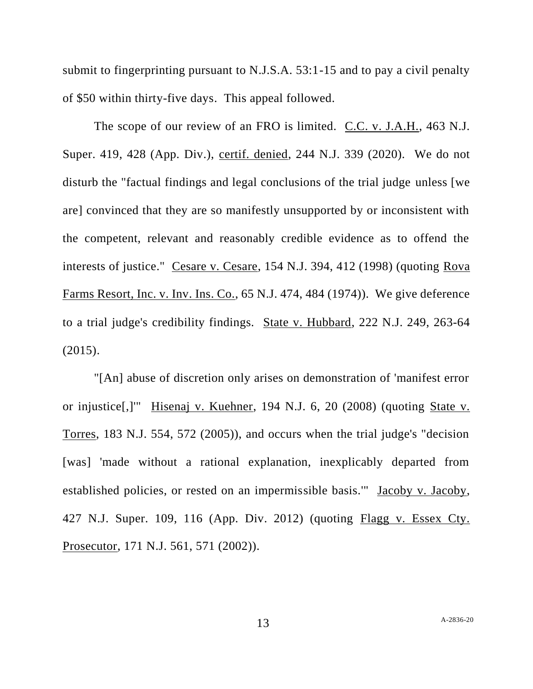submit to fingerprinting pursuant to N.J.S.A. 53:1-15 and to pay a civil penalty of \$50 within thirty-five days. This appeal followed.

The scope of our review of an FRO is limited. C.C. v. J.A.H., 463 N.J. Super. 419, 428 (App. Div.), certif. denied, 244 N.J. 339 (2020). We do not disturb the "factual findings and legal conclusions of the trial judge unless [we are] convinced that they are so manifestly unsupported by or inconsistent with the competent, relevant and reasonably credible evidence as to offend the interests of justice." Cesare v. Cesare, 154 N.J. 394, 412 (1998) (quoting Rova Farms Resort, Inc. v. Inv. Ins. Co., 65 N.J. 474, 484 (1974)). We give deference to a trial judge's credibility findings. State v. Hubbard, 222 N.J. 249, 263-64 (2015).

"[An] abuse of discretion only arises on demonstration of 'manifest error or injustice[,]'" Hisenaj v. Kuehner, 194 N.J. 6, 20 (2008) (quoting State v. Torres, 183 N.J. 554, 572 (2005)), and occurs when the trial judge's "decision [was] 'made without a rational explanation, inexplicably departed from established policies, or rested on an impermissible basis.'" Jacoby v. Jacoby, 427 N.J. Super. 109, 116 (App. Div. 2012) (quoting Flagg v. Essex Cty. Prosecutor, 171 N.J. 561, 571 (2002)).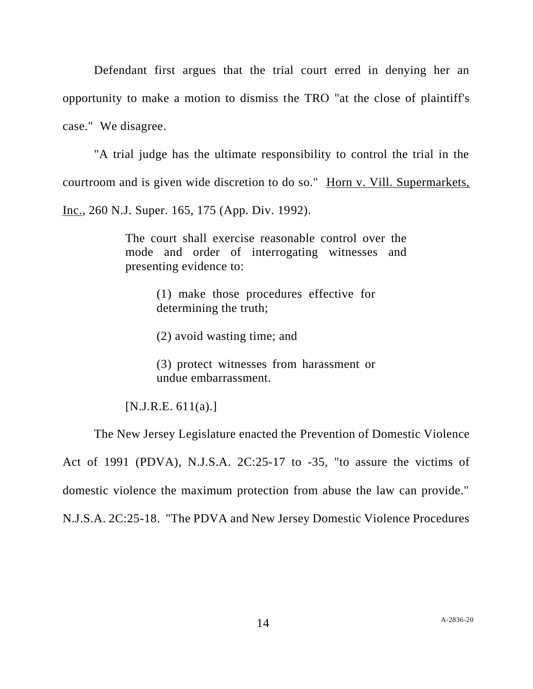Defendant first argues that the trial court erred in denying her an opportunity to make a motion to dismiss the TRO "at the close of plaintiff's case." We disagree.

"A trial judge has the ultimate responsibility to control the trial in the courtroom and is given wide discretion to do so." Horn v. Vill. Supermarkets, Inc., 260 N.J. Super. 165, 175 (App. Div. 1992).

> The court shall exercise reasonable control over the mode and order of interrogating witnesses and presenting evidence to:

> > (1) make those procedures effective for determining the truth;

(2) avoid wasting time; and

(3) protect witnesses from harassment or undue embarrassment.

 $[N.J.R.E. 611(a).]$ 

The New Jersey Legislature enacted the Prevention of Domestic Violence Act of 1991 (PDVA), N.J.S.A. 2C:25-17 to -35, "to assure the victims of domestic violence the maximum protection from abuse the law can provide." N.J.S.A. 2C:25-18. "The PDVA and New Jersey Domestic Violence Procedures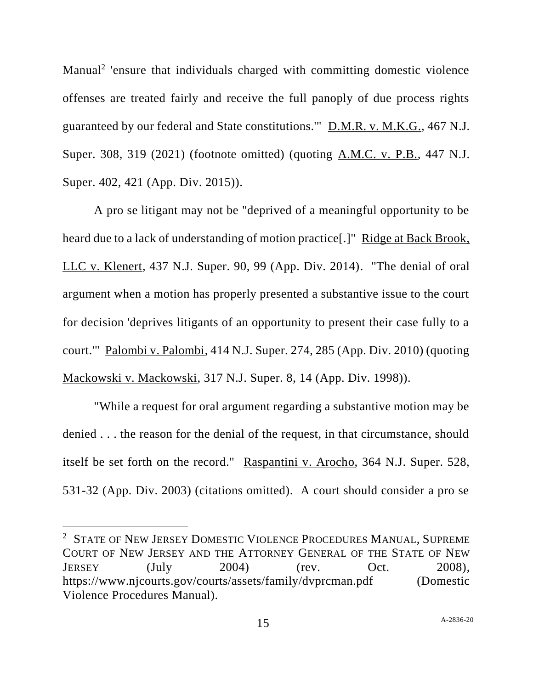Manual<sup>2</sup> 'ensure that individuals charged with committing domestic violence offenses are treated fairly and receive the full panoply of due process rights guaranteed by our federal and State constitutions.'" D.M.R. v. M.K.G., 467 N.J. Super. 308, 319 (2021) (footnote omitted) (quoting A.M.C. v. P.B., 447 N.J. Super. 402, 421 (App. Div. 2015)).

A pro se litigant may not be "deprived of a meaningful opportunity to be heard due to a lack of understanding of motion practice[.]" Ridge at Back Brook, LLC v. Klenert, 437 N.J. Super. 90, 99 (App. Div. 2014). "The denial of oral argument when a motion has properly presented a substantive issue to the court for decision 'deprives litigants of an opportunity to present their case fully to a court.'" Palombi v. Palombi, 414 N.J. Super. 274, 285 (App. Div. 2010) (quoting Mackowski v. Mackowski, 317 N.J. Super. 8, 14 (App. Div. 1998)).

"While a request for oral argument regarding a substantive motion may be denied . . . the reason for the denial of the request, in that circumstance, should itself be set forth on the record." Raspantini v. Arocho, 364 N.J. Super. 528, 531-32 (App. Div. 2003) (citations omitted). A court should consider a pro se

<sup>&</sup>lt;sup>2</sup> STATE OF NEW JERSEY DOMESTIC VIOLENCE PROCEDURES MANUAL, SUPREME COURT OF NEW JERSEY AND THE ATTORNEY GENERAL OF THE STATE OF NEW JERSEY (July 2004) (rev. Oct. 2008), https://www.njcourts.gov/courts/assets/family/dvprcman.pdf (Domestic Violence Procedures Manual).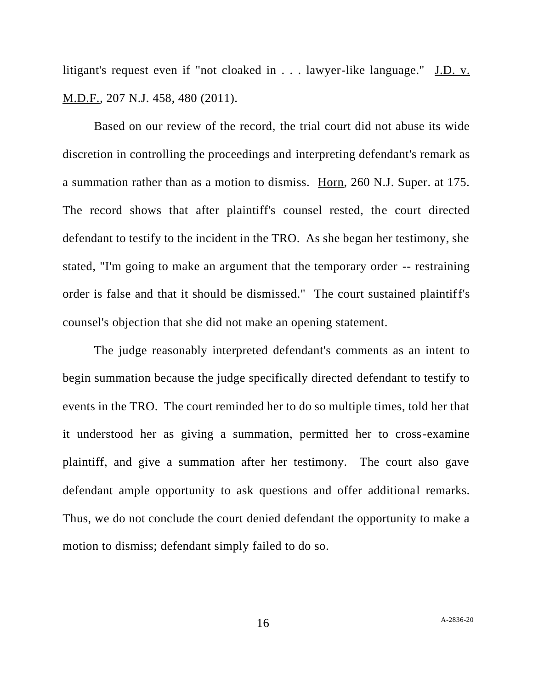litigant's request even if "not cloaked in . . . lawyer-like language." J.D. v. M.D.F., 207 N.J. 458, 480 (2011).

Based on our review of the record, the trial court did not abuse its wide discretion in controlling the proceedings and interpreting defendant's remark as a summation rather than as a motion to dismiss. Horn, 260 N.J. Super. at 175. The record shows that after plaintiff's counsel rested, the court directed defendant to testify to the incident in the TRO. As she began her testimony, she stated, "I'm going to make an argument that the temporary order -- restraining order is false and that it should be dismissed." The court sustained plaintiff's counsel's objection that she did not make an opening statement.

The judge reasonably interpreted defendant's comments as an intent to begin summation because the judge specifically directed defendant to testify to events in the TRO. The court reminded her to do so multiple times, told her that it understood her as giving a summation, permitted her to cross-examine plaintiff, and give a summation after her testimony. The court also gave defendant ample opportunity to ask questions and offer additional remarks. Thus, we do not conclude the court denied defendant the opportunity to make a motion to dismiss; defendant simply failed to do so.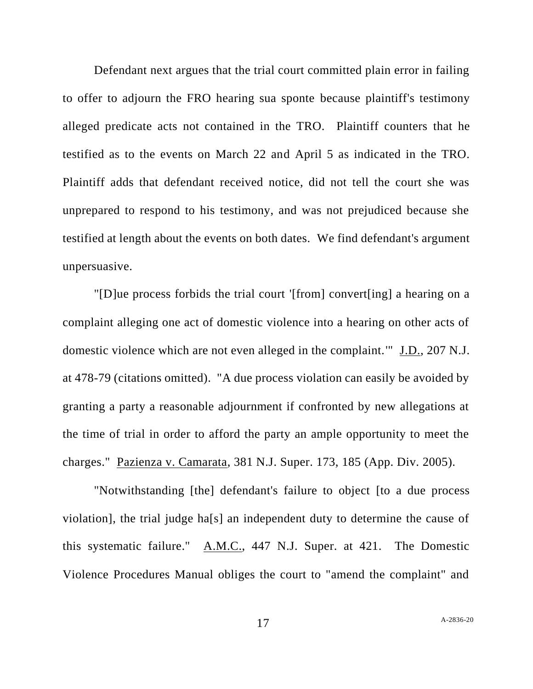Defendant next argues that the trial court committed plain error in failing to offer to adjourn the FRO hearing sua sponte because plaintiff's testimony alleged predicate acts not contained in the TRO. Plaintiff counters that he testified as to the events on March 22 and April 5 as indicated in the TRO. Plaintiff adds that defendant received notice, did not tell the court she was unprepared to respond to his testimony, and was not prejudiced because she testified at length about the events on both dates. We find defendant's argument unpersuasive.

"[D]ue process forbids the trial court '[from] convert[ing] a hearing on a complaint alleging one act of domestic violence into a hearing on other acts of domestic violence which are not even alleged in the complaint.'" J.D., 207 N.J. at 478-79 (citations omitted). "A due process violation can easily be avoided by granting a party a reasonable adjournment if confronted by new allegations at the time of trial in order to afford the party an ample opportunity to meet the charges." Pazienza v. Camarata, 381 N.J. Super. 173, 185 (App. Div. 2005).

"Notwithstanding [the] defendant's failure to object [to a due process violation], the trial judge ha[s] an independent duty to determine the cause of this systematic failure." A.M.C., 447 N.J. Super. at 421. The Domestic Violence Procedures Manual obliges the court to "amend the complaint" and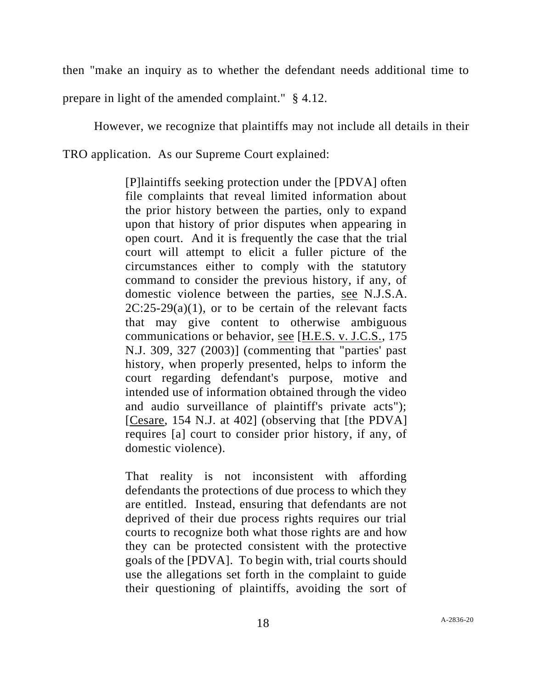then "make an inquiry as to whether the defendant needs additional time to

prepare in light of the amended complaint." § 4.12.

However, we recognize that plaintiffs may not include all details in their TRO application. As our Supreme Court explained:

> [P]laintiffs seeking protection under the [PDVA] often file complaints that reveal limited information about the prior history between the parties, only to expand upon that history of prior disputes when appearing in open court. And it is frequently the case that the trial court will attempt to elicit a fuller picture of the circumstances either to comply with the statutory command to consider the previous history, if any, of domestic violence between the parties, see N.J.S.A.  $2C:25-29(a)(1)$ , or to be certain of the relevant facts that may give content to otherwise ambiguous communications or behavior, see [H.E.S. v. J.C.S., 175 N.J. 309, 327 (2003)] (commenting that "parties' past history, when properly presented, helps to inform the court regarding defendant's purpose, motive and intended use of information obtained through the video and audio surveillance of plaintiff's private acts"); [Cesare, 154 N.J. at 402] (observing that [the PDVA] requires [a] court to consider prior history, if any, of domestic violence).

> That reality is not inconsistent with affording defendants the protections of due process to which they are entitled. Instead, ensuring that defendants are not deprived of their due process rights requires our trial courts to recognize both what those rights are and how they can be protected consistent with the protective goals of the [PDVA]. To begin with, trial courts should use the allegations set forth in the complaint to guide their questioning of plaintiffs, avoiding the sort of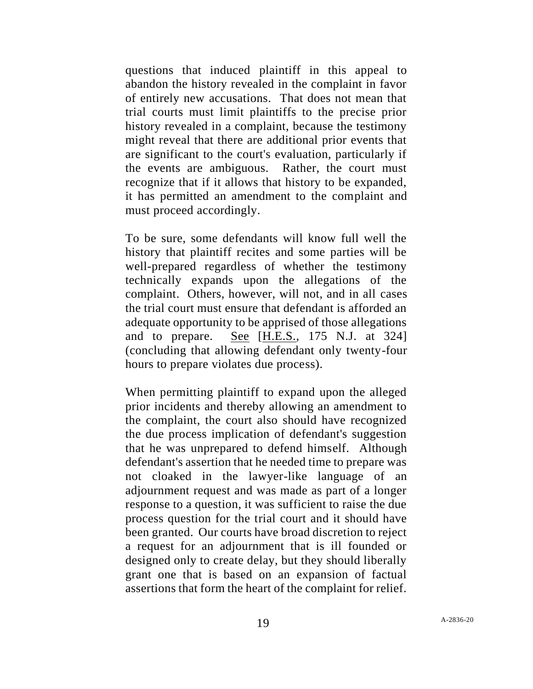questions that induced plaintiff in this appeal to abandon the history revealed in the complaint in favor of entirely new accusations. That does not mean that trial courts must limit plaintiffs to the precise prior history revealed in a complaint, because the testimony might reveal that there are additional prior events that are significant to the court's evaluation, particularly if the events are ambiguous. Rather, the court must recognize that if it allows that history to be expanded, it has permitted an amendment to the complaint and must proceed accordingly.

To be sure, some defendants will know full well the history that plaintiff recites and some parties will be well-prepared regardless of whether the testimony technically expands upon the allegations of the complaint. Others, however, will not, and in all cases the trial court must ensure that defendant is afforded an adequate opportunity to be apprised of those allegations and to prepare. See [H.E.S., 175 N.J. at 324] (concluding that allowing defendant only twenty-four hours to prepare violates due process).

When permitting plaintiff to expand upon the alleged prior incidents and thereby allowing an amendment to the complaint, the court also should have recognized the due process implication of defendant's suggestion that he was unprepared to defend himself. Although defendant's assertion that he needed time to prepare was not cloaked in the lawyer-like language of an adjournment request and was made as part of a longer response to a question, it was sufficient to raise the due process question for the trial court and it should have been granted. Our courts have broad discretion to reject a request for an adjournment that is ill founded or designed only to create delay, but they should liberally grant one that is based on an expansion of factual assertions that form the heart of the complaint for relief.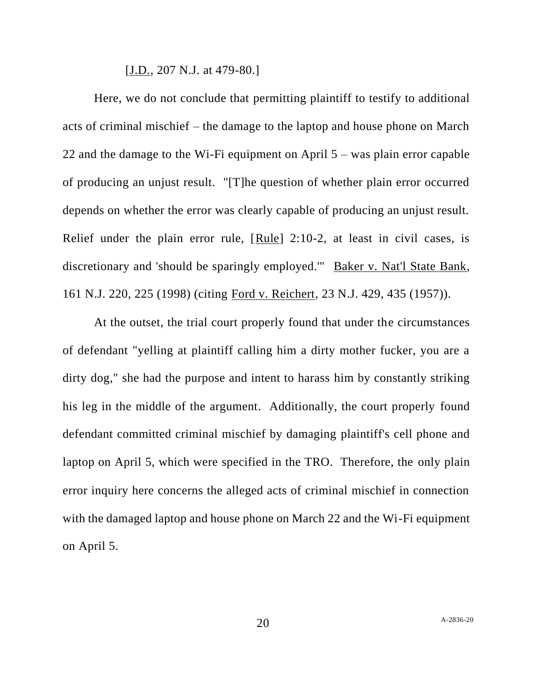[J.D., 207 N.J. at 479-80.]

Here, we do not conclude that permitting plaintiff to testify to additional acts of criminal mischief – the damage to the laptop and house phone on March 22 and the damage to the Wi-Fi equipment on April 5 – was plain error capable of producing an unjust result. "[T]he question of whether plain error occurred depends on whether the error was clearly capable of producing an unjust result. Relief under the plain error rule, [Rule] 2:10-2, at least in civil cases, is discretionary and 'should be sparingly employed.'" Baker v. Nat'l State Bank, 161 N.J. 220, 225 (1998) (citing Ford v. Reichert, 23 N.J. 429, 435 (1957)).

At the outset, the trial court properly found that under the circumstances of defendant "yelling at plaintiff calling him a dirty mother fucker, you are a dirty dog," she had the purpose and intent to harass him by constantly striking his leg in the middle of the argument. Additionally, the court properly found defendant committed criminal mischief by damaging plaintiff's cell phone and laptop on April 5, which were specified in the TRO. Therefore, the only plain error inquiry here concerns the alleged acts of criminal mischief in connection with the damaged laptop and house phone on March 22 and the Wi-Fi equipment on April 5.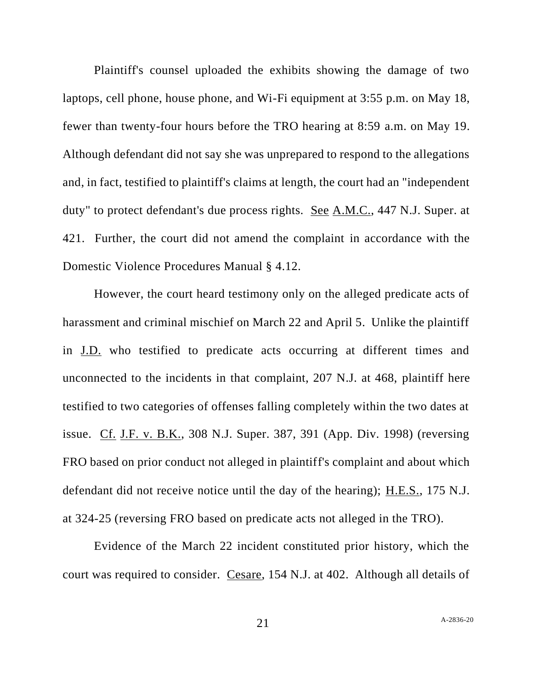Plaintiff's counsel uploaded the exhibits showing the damage of two laptops, cell phone, house phone, and Wi-Fi equipment at 3:55 p.m. on May 18, fewer than twenty-four hours before the TRO hearing at 8:59 a.m. on May 19. Although defendant did not say she was unprepared to respond to the allegations and, in fact, testified to plaintiff's claims at length, the court had an "independent duty" to protect defendant's due process rights. See A.M.C., 447 N.J. Super. at 421. Further, the court did not amend the complaint in accordance with the Domestic Violence Procedures Manual § 4.12.

However, the court heard testimony only on the alleged predicate acts of harassment and criminal mischief on March 22 and April 5. Unlike the plaintiff in J.D. who testified to predicate acts occurring at different times and unconnected to the incidents in that complaint, 207 N.J. at 468, plaintiff here testified to two categories of offenses falling completely within the two dates at issue. Cf. J.F. v. B.K., 308 N.J. Super. 387, 391 (App. Div. 1998) (reversing FRO based on prior conduct not alleged in plaintiff's complaint and about which defendant did not receive notice until the day of the hearing); H.E.S., 175 N.J. at 324-25 (reversing FRO based on predicate acts not alleged in the TRO).

Evidence of the March 22 incident constituted prior history, which the court was required to consider. Cesare, 154 N.J. at 402. Although all details of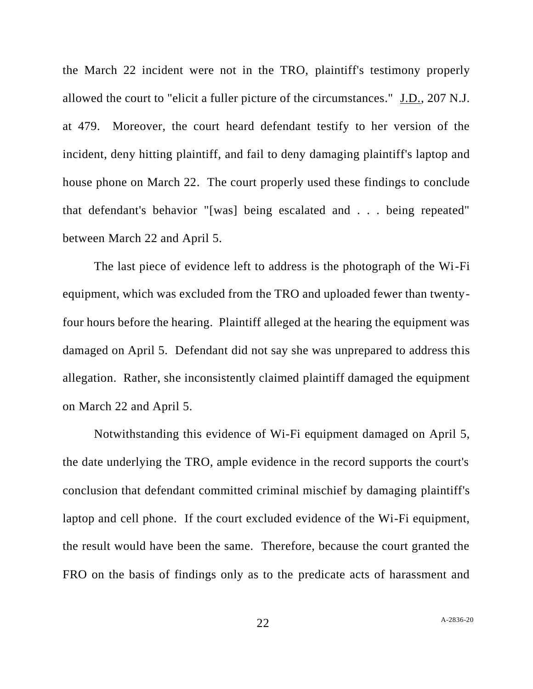the March 22 incident were not in the TRO, plaintiff's testimony properly allowed the court to "elicit a fuller picture of the circumstances." J.D., 207 N.J. at 479. Moreover, the court heard defendant testify to her version of the incident, deny hitting plaintiff, and fail to deny damaging plaintiff's laptop and house phone on March 22. The court properly used these findings to conclude that defendant's behavior "[was] being escalated and . . . being repeated" between March 22 and April 5.

The last piece of evidence left to address is the photograph of the Wi-Fi equipment, which was excluded from the TRO and uploaded fewer than twentyfour hours before the hearing. Plaintiff alleged at the hearing the equipment was damaged on April 5. Defendant did not say she was unprepared to address this allegation. Rather, she inconsistently claimed plaintiff damaged the equipment on March 22 and April 5.

Notwithstanding this evidence of Wi-Fi equipment damaged on April 5, the date underlying the TRO, ample evidence in the record supports the court's conclusion that defendant committed criminal mischief by damaging plaintiff's laptop and cell phone. If the court excluded evidence of the Wi-Fi equipment, the result would have been the same. Therefore, because the court granted the FRO on the basis of findings only as to the predicate acts of harassment and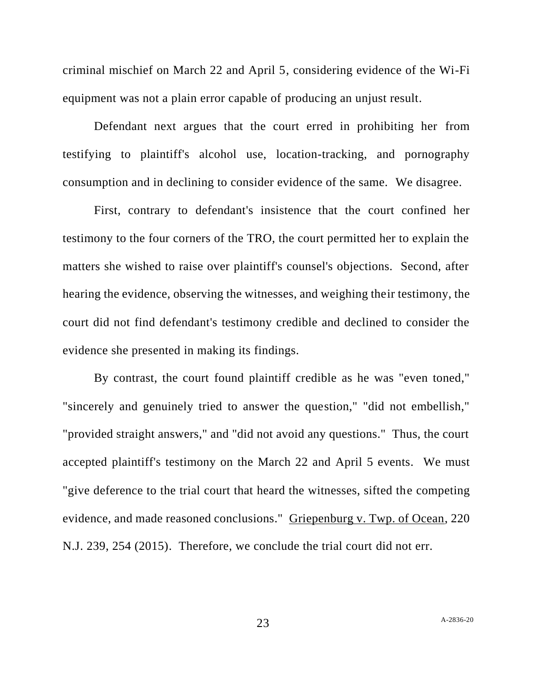criminal mischief on March 22 and April 5, considering evidence of the Wi-Fi equipment was not a plain error capable of producing an unjust result.

Defendant next argues that the court erred in prohibiting her from testifying to plaintiff's alcohol use, location-tracking, and pornography consumption and in declining to consider evidence of the same. We disagree.

First, contrary to defendant's insistence that the court confined her testimony to the four corners of the TRO, the court permitted her to explain the matters she wished to raise over plaintiff's counsel's objections. Second, after hearing the evidence, observing the witnesses, and weighing their testimony, the court did not find defendant's testimony credible and declined to consider the evidence she presented in making its findings.

By contrast, the court found plaintiff credible as he was "even toned," "sincerely and genuinely tried to answer the question," "did not embellish," "provided straight answers," and "did not avoid any questions." Thus, the court accepted plaintiff's testimony on the March 22 and April 5 events. We must "give deference to the trial court that heard the witnesses, sifted the competing evidence, and made reasoned conclusions." Griepenburg v. Twp. of Ocean, 220 N.J. 239, 254 (2015). Therefore, we conclude the trial court did not err.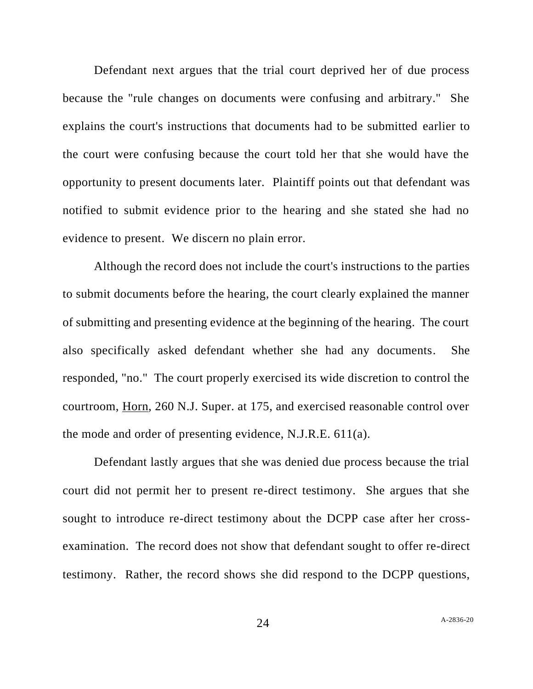Defendant next argues that the trial court deprived her of due process because the "rule changes on documents were confusing and arbitrary." She explains the court's instructions that documents had to be submitted earlier to the court were confusing because the court told her that she would have the opportunity to present documents later. Plaintiff points out that defendant was notified to submit evidence prior to the hearing and she stated she had no evidence to present. We discern no plain error.

Although the record does not include the court's instructions to the parties to submit documents before the hearing, the court clearly explained the manner of submitting and presenting evidence at the beginning of the hearing. The court also specifically asked defendant whether she had any documents. She responded, "no." The court properly exercised its wide discretion to control the courtroom, Horn, 260 N.J. Super. at 175, and exercised reasonable control over the mode and order of presenting evidence, N.J.R.E. 611(a).

Defendant lastly argues that she was denied due process because the trial court did not permit her to present re-direct testimony. She argues that she sought to introduce re-direct testimony about the DCPP case after her crossexamination. The record does not show that defendant sought to offer re-direct testimony. Rather, the record shows she did respond to the DCPP questions,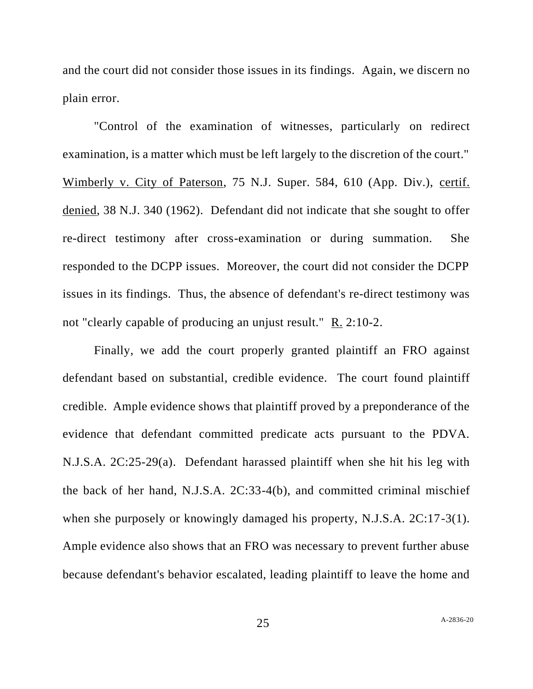and the court did not consider those issues in its findings. Again, we discern no plain error.

"Control of the examination of witnesses, particularly on redirect examination, is a matter which must be left largely to the discretion of the court." Wimberly v. City of Paterson, 75 N.J. Super. 584, 610 (App. Div.), certif. denied, 38 N.J. 340 (1962). Defendant did not indicate that she sought to offer re-direct testimony after cross-examination or during summation. She responded to the DCPP issues. Moreover, the court did not consider the DCPP issues in its findings. Thus, the absence of defendant's re-direct testimony was not "clearly capable of producing an unjust result." R. 2:10-2.

Finally, we add the court properly granted plaintiff an FRO against defendant based on substantial, credible evidence. The court found plaintiff credible. Ample evidence shows that plaintiff proved by a preponderance of the evidence that defendant committed predicate acts pursuant to the PDVA. N.J.S.A. 2C:25-29(a). Defendant harassed plaintiff when she hit his leg with the back of her hand, N.J.S.A. 2C:33-4(b), and committed criminal mischief when she purposely or knowingly damaged his property, N.J.S.A. 2C:17-3(1). Ample evidence also shows that an FRO was necessary to prevent further abuse because defendant's behavior escalated, leading plaintiff to leave the home and